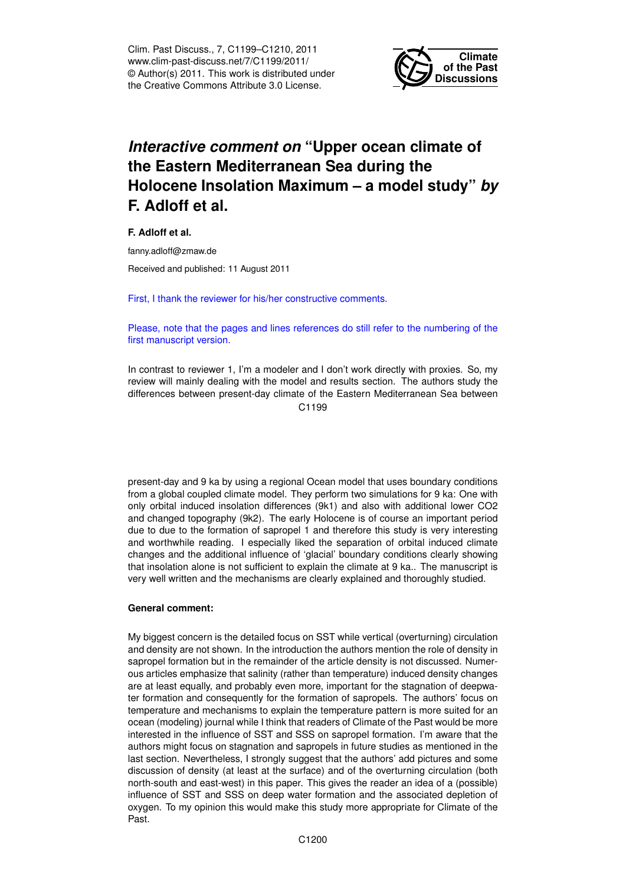Clim. Past Discuss., 7, C1199–C1210, 2011 www.clim-past-discuss.net/7/C1199/2011/ © Author(s) 2011. This work is distributed under the Creative Commons Attribute 3.0 License.



# *Interactive comment on* **"Upper ocean climate of the Eastern Mediterranean Sea during the Holocene Insolation Maximum – a model study"** *by* **F. Adloff et al.**

**F. Adloff et al.**

fanny.adloff@zmaw.de

Received and published: 11 August 2011

First, I thank the reviewer for his/her constructive comments.

Please, note that the pages and lines references do still refer to the numbering of the first manuscript version.

In contrast to reviewer 1, I'm a modeler and I don't work directly with proxies. So, my review will mainly dealing with the model and results section. The authors study the differences between present-day climate of the Eastern Mediterranean Sea between C<sub>1199</sub>

present-day and 9 ka by using a regional Ocean model that uses boundary conditions from a global coupled climate model. They perform two simulations for 9 ka: One with only orbital induced insolation differences (9k1) and also with additional lower CO2 and changed topography (9k2). The early Holocene is of course an important period due to due to the formation of sapropel 1 and therefore this study is very interesting and worthwhile reading. I especially liked the separation of orbital induced climate changes and the additional influence of 'glacial' boundary conditions clearly showing that insolation alone is not sufficient to explain the climate at 9 ka.. The manuscript is very well written and the mechanisms are clearly explained and thoroughly studied.

### **General comment:**

My biggest concern is the detailed focus on SST while vertical (overturning) circulation and density are not shown. In the introduction the authors mention the role of density in sapropel formation but in the remainder of the article density is not discussed. Numerous articles emphasize that salinity (rather than temperature) induced density changes are at least equally, and probably even more, important for the stagnation of deepwater formation and consequently for the formation of sapropels. The authors' focus on temperature and mechanisms to explain the temperature pattern is more suited for an ocean (modeling) journal while I think that readers of Climate of the Past would be more interested in the influence of SST and SSS on sapropel formation. I'm aware that the authors might focus on stagnation and sapropels in future studies as mentioned in the last section. Nevertheless, I strongly suggest that the authors' add pictures and some discussion of density (at least at the surface) and of the overturning circulation (both north-south and east-west) in this paper. This gives the reader an idea of a (possible) influence of SST and SSS on deep water formation and the associated depletion of oxygen. To my opinion this would make this study more appropriate for Climate of the Past.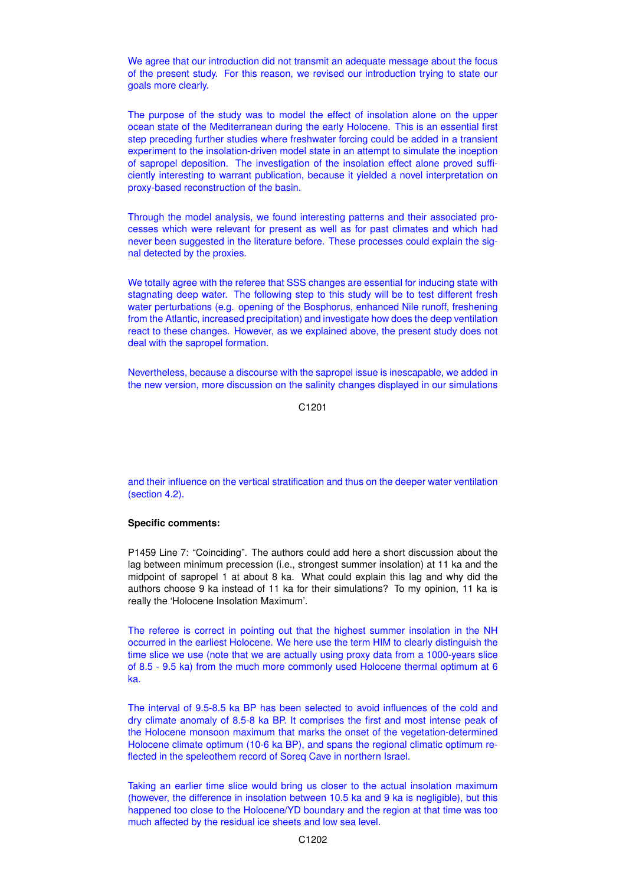We agree that our introduction did not transmit an adequate message about the focus of the present study. For this reason, we revised our introduction trying to state our goals more clearly.

The purpose of the study was to model the effect of insolation alone on the upper ocean state of the Mediterranean during the early Holocene. This is an essential first step preceding further studies where freshwater forcing could be added in a transient experiment to the insolation-driven model state in an attempt to simulate the inception of sapropel deposition. The investigation of the insolation effect alone proved sufficiently interesting to warrant publication, because it yielded a novel interpretation on proxy-based reconstruction of the basin.

Through the model analysis, we found interesting patterns and their associated processes which were relevant for present as well as for past climates and which had never been suggested in the literature before. These processes could explain the signal detected by the proxies.

We totally agree with the referee that SSS changes are essential for inducing state with stagnating deep water. The following step to this study will be to test different fresh water perturbations (e.g. opening of the Bosphorus, enhanced Nile runoff, freshening from the Atlantic, increased precipitation) and investigate how does the deep ventilation react to these changes. However, as we explained above, the present study does not deal with the sapropel formation.

Nevertheless, because a discourse with the sapropel issue is inescapable, we added in the new version, more discussion on the salinity changes displayed in our simulations

C1201

and their influence on the vertical stratification and thus on the deeper water ventilation (section 4.2).

## **Specific comments:**

P1459 Line 7: "Coinciding". The authors could add here a short discussion about the lag between minimum precession (i.e., strongest summer insolation) at 11 ka and the midpoint of sapropel 1 at about 8 ka. What could explain this lag and why did the authors choose 9 ka instead of 11 ka for their simulations? To my opinion, 11 ka is really the 'Holocene Insolation Maximum'.

The referee is correct in pointing out that the highest summer insolation in the NH occurred in the earliest Holocene. We here use the term HIM to clearly distinguish the time slice we use (note that we are actually using proxy data from a 1000-years slice of 8.5 - 9.5 ka) from the much more commonly used Holocene thermal optimum at 6 ka.

The interval of 9.5-8.5 ka BP has been selected to avoid influences of the cold and dry climate anomaly of 8.5-8 ka BP. It comprises the first and most intense peak of the Holocene monsoon maximum that marks the onset of the vegetation-determined Holocene climate optimum (10-6 ka BP), and spans the regional climatic optimum reflected in the speleothem record of Soreq Cave in northern Israel.

Taking an earlier time slice would bring us closer to the actual insolation maximum (however, the difference in insolation between 10.5 ka and 9 ka is negligible), but this happened too close to the Holocene/YD boundary and the region at that time was too much affected by the residual ice sheets and low sea level.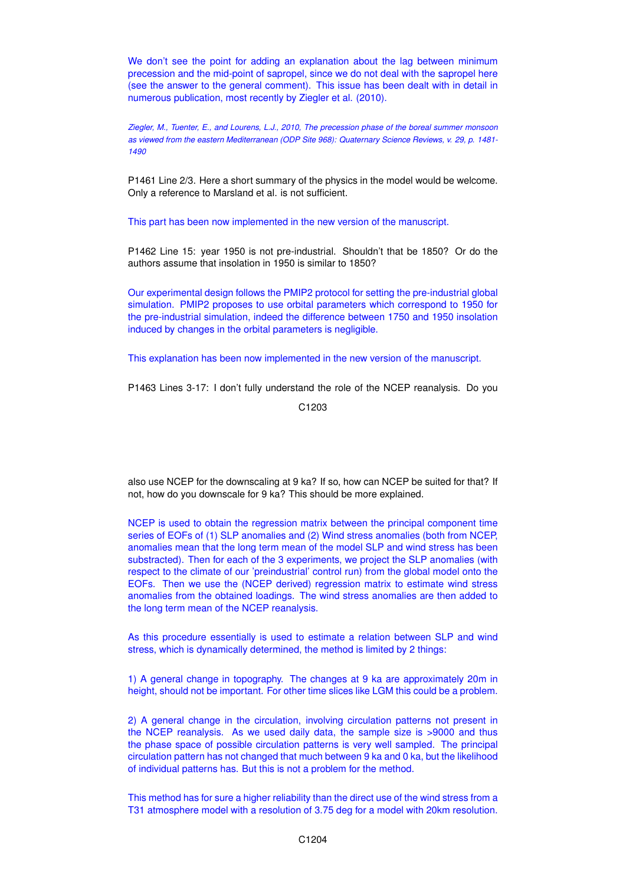We don't see the point for adding an explanation about the lag between minimum precession and the mid-point of sapropel, since we do not deal with the sapropel here (see the answer to the general comment). This issue has been dealt with in detail in numerous publication, most recently by Ziegler et al. (2010).

*Ziegler, M., Tuenter, E., and Lourens, L.J., 2010, The precession phase of the boreal summer monsoon as viewed from the eastern Mediterranean (ODP Site 968): Quaternary Science Reviews, v. 29, p. 1481- 1490*

P1461 Line 2/3. Here a short summary of the physics in the model would be welcome. Only a reference to Marsland et al. is not sufficient.

This part has been now implemented in the new version of the manuscript.

P1462 Line 15: year 1950 is not pre-industrial. Shouldn't that be 1850? Or do the authors assume that insolation in 1950 is similar to 1850?

Our experimental design follows the PMIP2 protocol for setting the pre-industrial global simulation. PMIP2 proposes to use orbital parameters which correspond to 1950 for the pre-industrial simulation, indeed the difference between 1750 and 1950 insolation induced by changes in the orbital parameters is negligible.

This explanation has been now implemented in the new version of the manuscript.

P1463 Lines 3-17: I don't fully understand the role of the NCEP reanalysis. Do you

C1203

also use NCEP for the downscaling at 9 ka? If so, how can NCEP be suited for that? If not, how do you downscale for 9 ka? This should be more explained.

NCEP is used to obtain the regression matrix between the principal component time series of EOFs of (1) SLP anomalies and (2) Wind stress anomalies (both from NCEP, anomalies mean that the long term mean of the model SLP and wind stress has been substracted). Then for each of the 3 experiments, we project the SLP anomalies (with respect to the climate of our 'preindustrial' control run) from the global model onto the EOFs. Then we use the (NCEP derived) regression matrix to estimate wind stress anomalies from the obtained loadings. The wind stress anomalies are then added to the long term mean of the NCEP reanalysis.

As this procedure essentially is used to estimate a relation between SLP and wind stress, which is dynamically determined, the method is limited by 2 things:

1) A general change in topography. The changes at 9 ka are approximately 20m in height, should not be important. For other time slices like LGM this could be a problem.

2) A general change in the circulation, involving circulation patterns not present in the NCEP reanalysis. As we used daily data, the sample size is >9000 and thus the phase space of possible circulation patterns is very well sampled. The principal circulation pattern has not changed that much between 9 ka and 0 ka, but the likelihood of individual patterns has. But this is not a problem for the method.

This method has for sure a higher reliability than the direct use of the wind stress from a T31 atmosphere model with a resolution of 3.75 deg for a model with 20km resolution.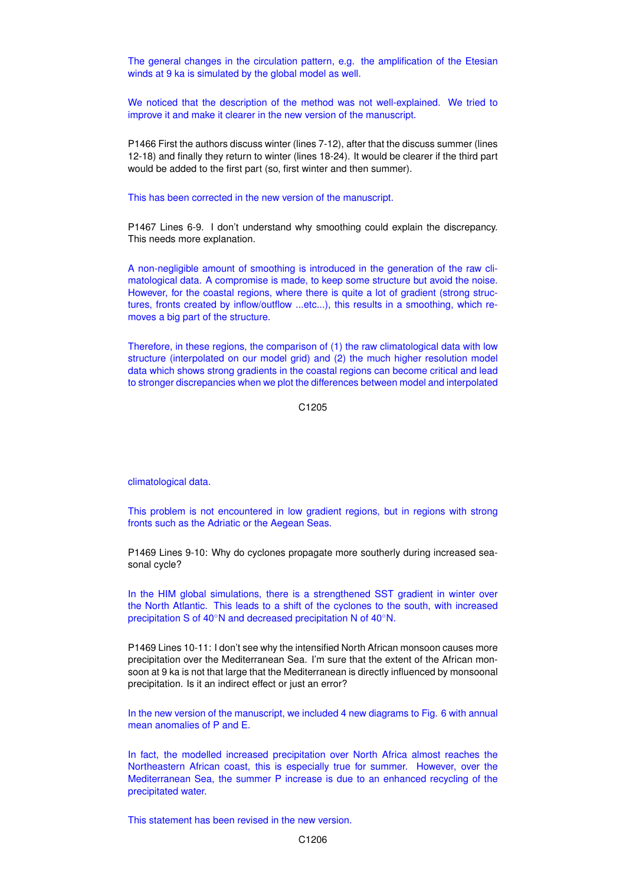The general changes in the circulation pattern, e.g. the amplification of the Etesian winds at 9 ka is simulated by the global model as well.

We noticed that the description of the method was not well-explained. We tried to improve it and make it clearer in the new version of the manuscript.

P1466 First the authors discuss winter (lines 7-12), after that the discuss summer (lines 12-18) and finally they return to winter (lines 18-24). It would be clearer if the third part would be added to the first part (so, first winter and then summer).

This has been corrected in the new version of the manuscript.

P1467 Lines 6-9. I don't understand why smoothing could explain the discrepancy. This needs more explanation.

A non-negligible amount of smoothing is introduced in the generation of the raw climatological data. A compromise is made, to keep some structure but avoid the noise. However, for the coastal regions, where there is quite a lot of gradient (strong structures, fronts created by inflow/outflow ...etc...), this results in a smoothing, which removes a big part of the structure.

Therefore, in these regions, the comparison of (1) the raw climatological data with low structure (interpolated on our model grid) and (2) the much higher resolution model data which shows strong gradients in the coastal regions can become critical and lead to stronger discrepancies when we plot the differences between model and interpolated

C1205

climatological data.

This problem is not encountered in low gradient regions, but in regions with strong fronts such as the Adriatic or the Aegean Seas.

P1469 Lines 9-10: Why do cyclones propagate more southerly during increased seasonal cycle?

In the HIM global simulations, there is a strengthened SST gradient in winter over the North Atlantic. This leads to a shift of the cyclones to the south, with increased precipitation S of 40<sup>°</sup>N and decreased precipitation N of 40<sup>°</sup>N.

P1469 Lines 10-11: I don't see why the intensified North African monsoon causes more precipitation over the Mediterranean Sea. I'm sure that the extent of the African monsoon at 9 ka is not that large that the Mediterranean is directly influenced by monsoonal precipitation. Is it an indirect effect or just an error?

In the new version of the manuscript, we included 4 new diagrams to Fig. 6 with annual mean anomalies of P and E.

In fact, the modelled increased precipitation over North Africa almost reaches the Northeastern African coast, this is especially true for summer. However, over the Mediterranean Sea, the summer P increase is due to an enhanced recycling of the precipitated water.

This statement has been revised in the new version.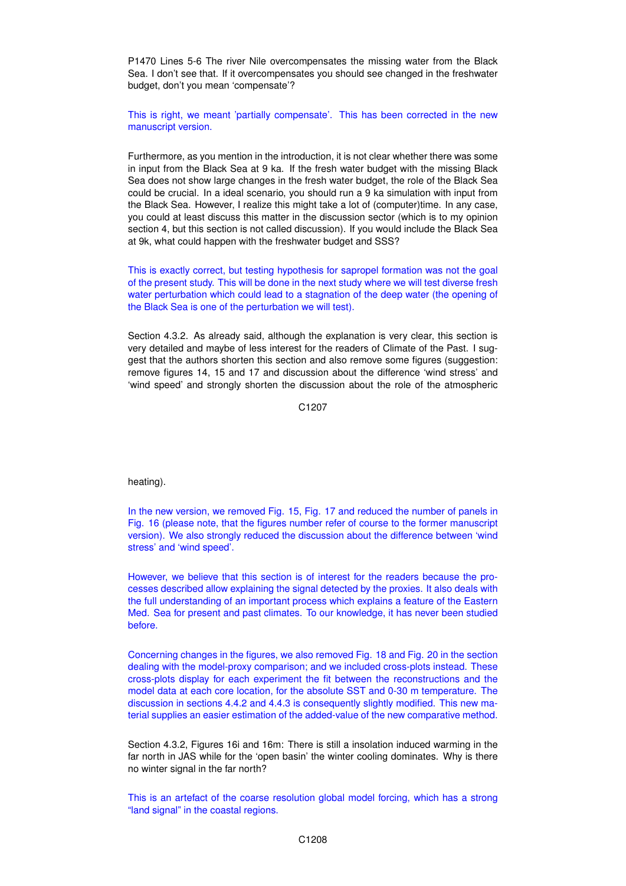P1470 Lines 5-6 The river Nile overcompensates the missing water from the Black Sea. I don't see that. If it overcompensates you should see changed in the freshwater budget, don't you mean 'compensate'?

This is right, we meant 'partially compensate'. This has been corrected in the new manuscript version.

Furthermore, as you mention in the introduction, it is not clear whether there was some in input from the Black Sea at 9 ka. If the fresh water budget with the missing Black Sea does not show large changes in the fresh water budget, the role of the Black Sea could be crucial. In a ideal scenario, you should run a 9 ka simulation with input from the Black Sea. However, I realize this might take a lot of (computer)time. In any case, you could at least discuss this matter in the discussion sector (which is to my opinion section 4, but this section is not called discussion). If you would include the Black Sea at 9k, what could happen with the freshwater budget and SSS?

This is exactly correct, but testing hypothesis for sapropel formation was not the goal of the present study. This will be done in the next study where we will test diverse fresh water perturbation which could lead to a stagnation of the deep water (the opening of the Black Sea is one of the perturbation we will test).

Section 4.3.2. As already said, although the explanation is very clear, this section is very detailed and maybe of less interest for the readers of Climate of the Past. I suggest that the authors shorten this section and also remove some figures (suggestion: remove figures 14, 15 and 17 and discussion about the difference 'wind stress' and 'wind speed' and strongly shorten the discussion about the role of the atmospheric

C1207

heating).

In the new version, we removed Fig. 15, Fig. 17 and reduced the number of panels in Fig. 16 (please note, that the figures number refer of course to the former manuscript version). We also strongly reduced the discussion about the difference between 'wind stress' and 'wind speed'.

However, we believe that this section is of interest for the readers because the processes described allow explaining the signal detected by the proxies. It also deals with the full understanding of an important process which explains a feature of the Eastern Med. Sea for present and past climates. To our knowledge, it has never been studied before.

Concerning changes in the figures, we also removed Fig. 18 and Fig. 20 in the section dealing with the model-proxy comparison; and we included cross-plots instead. These cross-plots display for each experiment the fit between the reconstructions and the model data at each core location, for the absolute SST and 0-30 m temperature. The discussion in sections 4.4.2 and 4.4.3 is consequently slightly modified. This new material supplies an easier estimation of the added-value of the new comparative method.

Section 4.3.2, Figures 16i and 16m: There is still a insolation induced warming in the far north in JAS while for the 'open basin' the winter cooling dominates. Why is there no winter signal in the far north?

This is an artefact of the coarse resolution global model forcing, which has a strong "land signal" in the coastal regions.